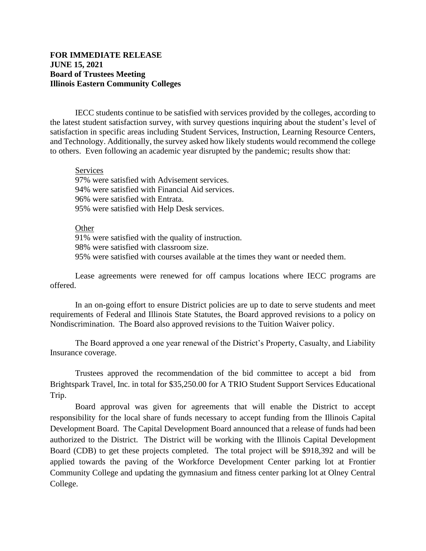## **FOR IMMEDIATE RELEASE JUNE 15, 2021 Board of Trustees Meeting Illinois Eastern Community Colleges**

IECC students continue to be satisfied with services provided by the colleges, according to the latest student satisfaction survey, with survey questions inquiring about the student's level of satisfaction in specific areas including Student Services, Instruction, Learning Resource Centers, and Technology. Additionally, the survey asked how likely students would recommend the college to others. Even following an academic year disrupted by the pandemic; results show that:

## Services

97% were satisfied with Advisement services. 94% were satisfied with Financial Aid services. 96% were satisfied with Entrata. 95% were satisfied with Help Desk services.

## **Other**

91% were satisfied with the quality of instruction. 98% were satisfied with classroom size. 95% were satisfied with courses available at the times they want or needed them.

Lease agreements were renewed for off campus locations where IECC programs are offered.

In an on-going effort to ensure District policies are up to date to serve students and meet requirements of Federal and Illinois State Statutes, the Board approved revisions to a policy on Nondiscrimination. The Board also approved revisions to the Tuition Waiver policy.

The Board approved a one year renewal of the District's Property, Casualty, and Liability Insurance coverage.

Trustees approved the recommendation of the bid committee to accept a bid from Brightspark Travel, Inc. in total for \$35,250.00 for A TRIO Student Support Services Educational Trip.

Board approval was given for agreements that will enable the District to accept responsibility for the local share of funds necessary to accept funding from the Illinois Capital Development Board. The Capital Development Board announced that a release of funds had been authorized to the District. The District will be working with the Illinois Capital Development Board (CDB) to get these projects completed. The total project will be \$918,392 and will be applied towards the paving of the Workforce Development Center parking lot at Frontier Community College and updating the gymnasium and fitness center parking lot at Olney Central College.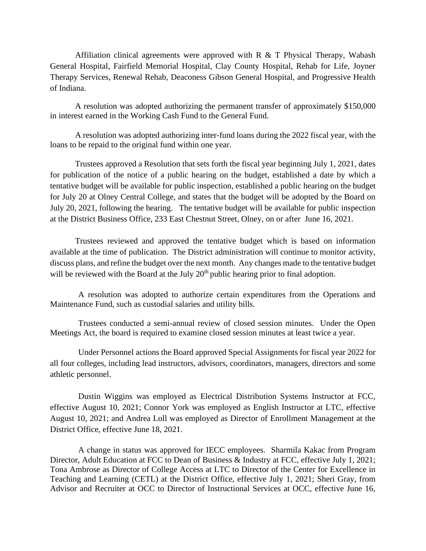Affiliation clinical agreements were approved with  $R \& T$  Physical Therapy, Wabash General Hospital, Fairfield Memorial Hospital, Clay County Hospital, Rehab for Life, Joyner Therapy Services, Renewal Rehab, Deaconess Gibson General Hospital, and Progressive Health of Indiana.

A resolution was adopted authorizing the permanent transfer of approximately \$150,000 in interest earned in the Working Cash Fund to the General Fund.

A resolution was adopted authorizing inter-fund loans during the 2022 fiscal year, with the loans to be repaid to the original fund within one year.

Trustees approved a Resolution that sets forth the fiscal year beginning July 1, 2021, dates for publication of the notice of a public hearing on the budget, established a date by which a tentative budget will be available for public inspection, established a public hearing on the budget for July 20 at Olney Central College, and states that the budget will be adopted by the Board on July 20, 2021, following the hearing. The tentative budget will be available for public inspection at the District Business Office, 233 East Chestnut Street, Olney, on or after June 16, 2021.

Trustees reviewed and approved the tentative budget which is based on information available at the time of publication. The District administration will continue to monitor activity, discuss plans, and refine the budget over the next month. Any changes made to the tentative budget will be reviewed with the Board at the July  $20<sup>th</sup>$  public hearing prior to final adoption.

A resolution was adopted to authorize certain expenditures from the Operations and Maintenance Fund, such as custodial salaries and utility bills.

Trustees conducted a semi-annual review of closed session minutes. Under the Open Meetings Act, the board is required to examine closed session minutes at least twice a year.

Under Personnel actions the Board approved Special Assignments for fiscal year 2022 for all four colleges, including lead instructors, advisors, coordinators, managers, directors and some athletic personnel.

Dustin Wiggins was employed as Electrical Distribution Systems Instructor at FCC, effective August 10, 2021; Connor York was employed as English Instructor at LTC, effective August 10, 2021; and Andrea Loll was employed as Director of Enrollment Management at the District Office, effective June 18, 2021.

A change in status was approved for IECC employees. Sharmila Kakac from Program Director, Adult Education at FCC to Dean of Business & Industry at FCC, effective July 1, 2021; Tona Ambrose as Director of College Access at LTC to Director of the Center for Excellence in Teaching and Learning (CETL) at the District Office, effective July 1, 2021; Sheri Gray, from Advisor and Recruiter at OCC to Director of Instructional Services at OCC, effective June 16,